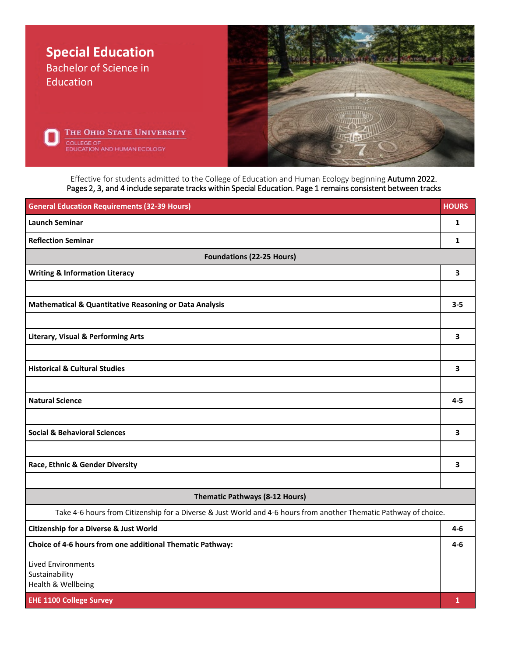

Effective for students admitted to the College of Education and Human Ecology beginning Autumn 2022. Pages 2, 3, and 4 include separate tracks within Special Education. Page 1 remains consistent between tracks

| <b>General Education Requirements (32-39 Hours)</b>                                                               | <b>HOURS</b>            |  |  |  |
|-------------------------------------------------------------------------------------------------------------------|-------------------------|--|--|--|
| <b>Launch Seminar</b>                                                                                             | $\mathbf{1}$            |  |  |  |
| <b>Reflection Seminar</b>                                                                                         | $\mathbf{1}$            |  |  |  |
| <b>Foundations (22-25 Hours)</b>                                                                                  |                         |  |  |  |
| <b>Writing &amp; Information Literacy</b>                                                                         | 3                       |  |  |  |
|                                                                                                                   |                         |  |  |  |
| Mathematical & Quantitative Reasoning or Data Analysis                                                            | $3 - 5$                 |  |  |  |
|                                                                                                                   |                         |  |  |  |
| <b>Literary, Visual &amp; Performing Arts</b>                                                                     | $\overline{\mathbf{3}}$ |  |  |  |
|                                                                                                                   |                         |  |  |  |
| <b>Historical &amp; Cultural Studies</b>                                                                          | 3                       |  |  |  |
|                                                                                                                   |                         |  |  |  |
| <b>Natural Science</b>                                                                                            | $4 - 5$                 |  |  |  |
|                                                                                                                   |                         |  |  |  |
| <b>Social &amp; Behavioral Sciences</b>                                                                           | 3                       |  |  |  |
|                                                                                                                   |                         |  |  |  |
| Race, Ethnic & Gender Diversity                                                                                   | 3                       |  |  |  |
|                                                                                                                   |                         |  |  |  |
| <b>Thematic Pathways (8-12 Hours)</b>                                                                             |                         |  |  |  |
| Take 4-6 hours from Citizenship for a Diverse & Just World and 4-6 hours from another Thematic Pathway of choice. |                         |  |  |  |
| <b>Citizenship for a Diverse &amp; Just World</b>                                                                 | $4-6$                   |  |  |  |
| Choice of 4-6 hours from one additional Thematic Pathway:                                                         | 4-6                     |  |  |  |
| <b>Lived Environments</b>                                                                                         |                         |  |  |  |
| Sustainability<br>Health & Wellbeing                                                                              |                         |  |  |  |
| <b>EHE 1100 College Survey</b>                                                                                    | 1                       |  |  |  |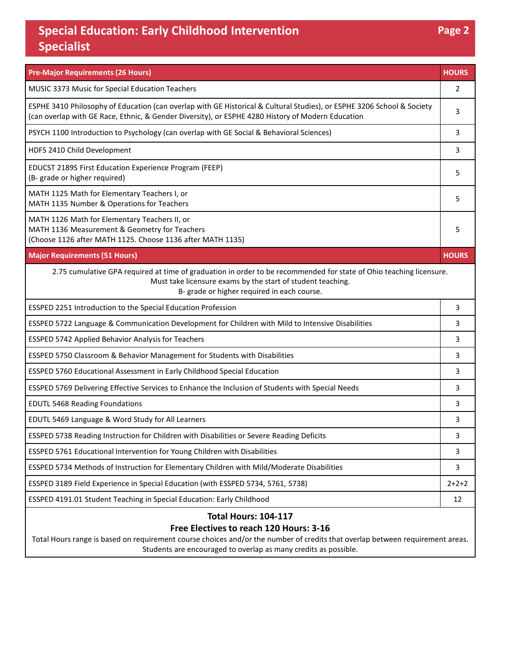## **Special Education: Early Childhood Intervention Specialist**

| <b>Pre-Major Requirements (26 Hours)</b>                                                                                                                                                                                          | <b>HOURS</b> |  |  |  |  |
|-----------------------------------------------------------------------------------------------------------------------------------------------------------------------------------------------------------------------------------|--------------|--|--|--|--|
| MUSIC 3373 Music for Special Education Teachers                                                                                                                                                                                   | 2            |  |  |  |  |
| ESPHE 3410 Philosophy of Education (can overlap with GE Historical & Cultural Studies), or ESPHE 3206 School & Society<br>(can overlap with GE Race, Ethnic, & Gender Diversity), or ESPHE 4280 History of Modern Education       |              |  |  |  |  |
| PSYCH 1100 Introduction to Psychology (can overlap with GE Social & Behavioral Sciences)                                                                                                                                          |              |  |  |  |  |
| HDFS 2410 Child Development                                                                                                                                                                                                       | 3            |  |  |  |  |
| EDUCST 2189S First Education Experience Program (FEEP)<br>(B- grade or higher required)                                                                                                                                           |              |  |  |  |  |
| MATH 1125 Math for Elementary Teachers I, or<br>MATH 1135 Number & Operations for Teachers                                                                                                                                        |              |  |  |  |  |
| MATH 1126 Math for Elementary Teachers II, or<br>MATH 1136 Measurement & Geometry for Teachers<br>(Choose 1126 after MATH 1125. Choose 1136 after MATH 1135)                                                                      | 5            |  |  |  |  |
| <b>Major Requirements (51 Hours)</b>                                                                                                                                                                                              | <b>HOURS</b> |  |  |  |  |
| 2.75 cumulative GPA required at time of graduation in order to be recommended for state of Ohio teaching licensure.<br>Must take licensure exams by the start of student teaching.<br>B- grade or higher required in each course. |              |  |  |  |  |
| ESSPED 2251 Introduction to the Special Education Profession                                                                                                                                                                      | 3            |  |  |  |  |
| ESSPED 5722 Language & Communication Development for Children with Mild to Intensive Disabilities                                                                                                                                 | 3            |  |  |  |  |
| ESSPED 5742 Applied Behavior Analysis for Teachers                                                                                                                                                                                | 3            |  |  |  |  |
| ESSPED 5750 Classroom & Behavior Management for Students with Disabilities                                                                                                                                                        |              |  |  |  |  |
| ESSPED 5760 Educational Assessment in Early Childhood Special Education                                                                                                                                                           |              |  |  |  |  |
| ESSPED 5769 Delivering Effective Services to Enhance the Inclusion of Students with Special Needs                                                                                                                                 |              |  |  |  |  |
| <b>EDUTL 5468 Reading Foundations</b>                                                                                                                                                                                             |              |  |  |  |  |
| EDUTL 5469 Language & Word Study for All Learners                                                                                                                                                                                 | 3            |  |  |  |  |
| ESSPED 5738 Reading Instruction for Children with Disabilities or Severe Reading Deficits                                                                                                                                         | 3            |  |  |  |  |
| ESSPED 5761 Educational Intervention for Young Children with Disabilities                                                                                                                                                         | 3            |  |  |  |  |
| ESSPED 5734 Methods of Instruction for Elementary Children with Mild/Moderate Disabilities                                                                                                                                        | 3            |  |  |  |  |
| ESSPED 3189 Field Experience in Special Education (with ESSPED 5734, 5761, 5738)                                                                                                                                                  | $2+2+2$      |  |  |  |  |
| ESSPED 4191.01 Student Teaching in Special Education: Early Childhood                                                                                                                                                             | 12           |  |  |  |  |
| <b>Total Hours: 104-117</b><br>Free Electives to reach 120 Hours: 3-16                                                                                                                                                            |              |  |  |  |  |

Total Hours range is based on requirement course choices and/or the number of credits that overlap between requirement areas. Students are encouraged to overlap as many credits as possible.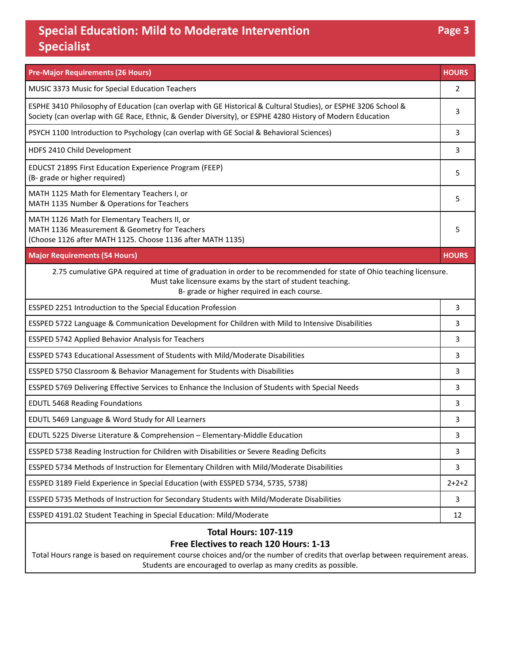## **Special Education: Mild to Moderate Intervention Specialist**

| <b>Pre-Major Requirements (26 Hours)</b>                                                                                                                                                                                          | <b>HOURS</b> |  |  |  |  |
|-----------------------------------------------------------------------------------------------------------------------------------------------------------------------------------------------------------------------------------|--------------|--|--|--|--|
| MUSIC 3373 Music for Special Education Teachers                                                                                                                                                                                   | 2            |  |  |  |  |
| ESPHE 3410 Philosophy of Education (can overlap with GE Historical & Cultural Studies), or ESPHE 3206 School &<br>Society (can overlap with GE Race, Ethnic, & Gender Diversity), or ESPHE 4280 History of Modern Education       |              |  |  |  |  |
| PSYCH 1100 Introduction to Psychology (can overlap with GE Social & Behavioral Sciences)                                                                                                                                          | 3            |  |  |  |  |
| HDFS 2410 Child Development                                                                                                                                                                                                       | 3            |  |  |  |  |
| EDUCST 2189S First Education Experience Program (FEEP)<br>(B- grade or higher required)                                                                                                                                           |              |  |  |  |  |
| MATH 1125 Math for Elementary Teachers I, or<br>MATH 1135 Number & Operations for Teachers                                                                                                                                        |              |  |  |  |  |
| MATH 1126 Math for Elementary Teachers II, or<br>MATH 1136 Measurement & Geometry for Teachers<br>(Choose 1126 after MATH 1125. Choose 1136 after MATH 1135)                                                                      | 5            |  |  |  |  |
| <b>Major Requirements (54 Hours)</b>                                                                                                                                                                                              | <b>HOURS</b> |  |  |  |  |
| 2.75 cumulative GPA required at time of graduation in order to be recommended for state of Ohio teaching licensure.<br>Must take licensure exams by the start of student teaching.<br>B- grade or higher required in each course. |              |  |  |  |  |
| ESSPED 2251 Introduction to the Special Education Profession                                                                                                                                                                      | 3            |  |  |  |  |
| ESSPED 5722 Language & Communication Development for Children with Mild to Intensive Disabilities                                                                                                                                 | 3            |  |  |  |  |
| ESSPED 5742 Applied Behavior Analysis for Teachers                                                                                                                                                                                | 3            |  |  |  |  |
| ESSPED 5743 Educational Assessment of Students with Mild/Moderate Disabilities                                                                                                                                                    |              |  |  |  |  |
| ESSPED 5750 Classroom & Behavior Management for Students with Disabilities                                                                                                                                                        |              |  |  |  |  |
| ESSPED 5769 Delivering Effective Services to Enhance the Inclusion of Students with Special Needs                                                                                                                                 |              |  |  |  |  |
| <b>EDUTL 5468 Reading Foundations</b>                                                                                                                                                                                             | 3            |  |  |  |  |
| EDUTL 5469 Language & Word Study for All Learners                                                                                                                                                                                 | 3            |  |  |  |  |
| EDUTL 5225 Diverse Literature & Comprehension - Elementary-Middle Education                                                                                                                                                       |              |  |  |  |  |
| ESSPED 5738 Reading Instruction for Children with Disabilities or Severe Reading Deficits                                                                                                                                         | 3            |  |  |  |  |
| ESSPED 5734 Methods of Instruction for Elementary Children with Mild/Moderate Disabilities                                                                                                                                        | 3            |  |  |  |  |
| ESSPED 3189 Field Experience in Special Education (with ESSPED 5734, 5735, 5738)                                                                                                                                                  | $2 + 2 + 2$  |  |  |  |  |
| ESSPED 5735 Methods of Instruction for Secondary Students with Mild/Moderate Disabilities                                                                                                                                         | 3            |  |  |  |  |
| ESSPED 4191.02 Student Teaching in Special Education: Mild/Moderate                                                                                                                                                               | 12           |  |  |  |  |
| <b>Total Hours: 107-119</b><br>Free Electives to reach 120 Hours: 1-13<br>Total Hours range is based on requirement course choices and/or the number of credits that overlap between requirement areas.                           |              |  |  |  |  |

Students are encouraged to overlap as many credits as possible.